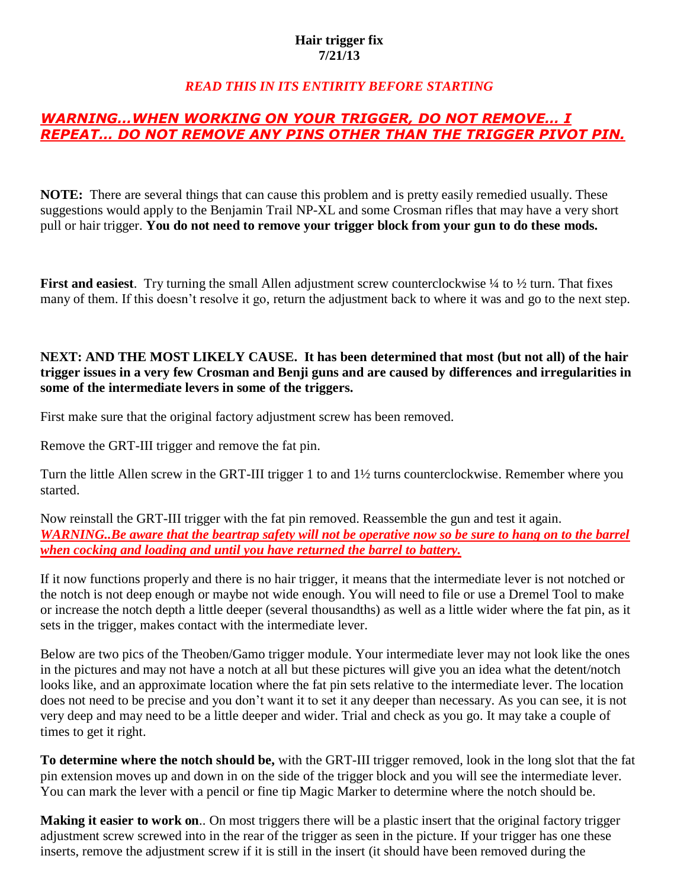#### **Hair trigger fix 7/21/13**

### *READ THIS IN ITS ENTIRITY BEFORE STARTING*

## *WARNING…WHEN WORKING ON YOUR TRIGGER, DO NOT REMOVE… I REPEAT… DO NOT REMOVE ANY PINS OTHER THAN THE TRIGGER PIVOT PIN.*

**NOTE:** There are several things that can cause this problem and is pretty easily remedied usually. These suggestions would apply to the Benjamin Trail NP-XL and some Crosman rifles that may have a very short pull or hair trigger. **You do not need to remove your trigger block from your gun to do these mods.**

**First and easiest**. Try turning the small Allen adjustment screw counterclockwise  $\frac{1}{4}$  to  $\frac{1}{2}$  turn. That fixes many of them. If this doesn't resolve it go, return the adjustment back to where it was and go to the next step.

#### **NEXT: AND THE MOST LIKELY CAUSE. It has been determined that most (but not all) of the hair trigger issues in a very few Crosman and Benji guns and are caused by differences and irregularities in some of the intermediate levers in some of the triggers.**

First make sure that the original factory adjustment screw has been removed.

Remove the GRT-III trigger and remove the fat pin.

Turn the little Allen screw in the GRT-III trigger 1 to and 1½ turns counterclockwise. Remember where you started.

Now reinstall the GRT-III trigger with the fat pin removed. Reassemble the gun and test it again. *WARNING..Be aware that the beartrap safety will not be operative now so be sure to hang on to the barrel when cocking and loading and until you have returned the barrel to battery.*

If it now functions properly and there is no hair trigger, it means that the intermediate lever is not notched or the notch is not deep enough or maybe not wide enough. You will need to file or use a Dremel Tool to make or increase the notch depth a little deeper (several thousandths) as well as a little wider where the fat pin, as it sets in the trigger, makes contact with the intermediate lever.

Below are two pics of the Theoben/Gamo trigger module. Your intermediate lever may not look like the ones in the pictures and may not have a notch at all but these pictures will give you an idea what the detent/notch looks like, and an approximate location where the fat pin sets relative to the intermediate lever. The location does not need to be precise and you don't want it to set it any deeper than necessary. As you can see, it is not very deep and may need to be a little deeper and wider. Trial and check as you go. It may take a couple of times to get it right.

**To determine where the notch should be,** with the GRT-III trigger removed, look in the long slot that the fat pin extension moves up and down in on the side of the trigger block and you will see the intermediate lever. You can mark the lever with a pencil or fine tip Magic Marker to determine where the notch should be.

**Making it easier to work on**.. On most triggers there will be a plastic insert that the original factory trigger adjustment screw screwed into in the rear of the trigger as seen in the picture. If your trigger has one these inserts, remove the adjustment screw if it is still in the insert (it should have been removed during the